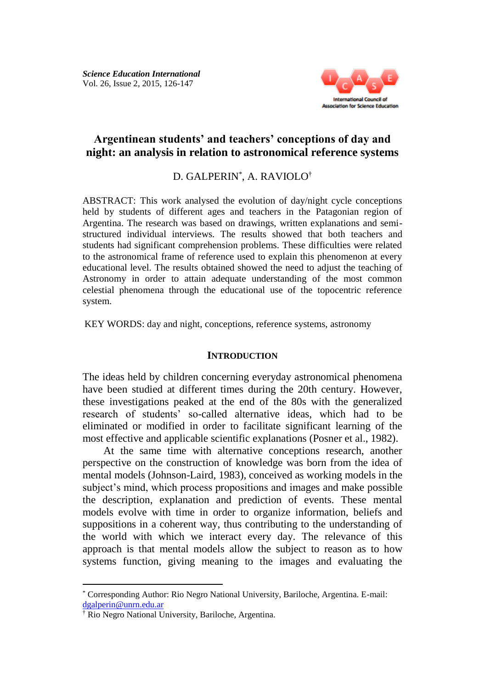

# **Argentinean students' and teachers' conceptions of day and night: an analysis in relation to astronomical reference systems**

## D. GALPERIN\* , A. RAVIOLO†

ABSTRACT: This work analysed the evolution of day/night cycle conceptions held by students of different ages and teachers in the Patagonian region of Argentina. The research was based on drawings, written explanations and semistructured individual interviews. The results showed that both teachers and students had significant comprehension problems. These difficulties were related to the astronomical frame of reference used to explain this phenomenon at every educational level. The results obtained showed the need to adjust the teaching of Astronomy in order to attain adequate understanding of the most common celestial phenomena through the educational use of the topocentric reference system.

KEY WORDS: day and night, conceptions, reference systems, astronomy

#### **INTRODUCTION**

The ideas held by children concerning everyday astronomical phenomena have been studied at different times during the 20th century. However, these investigations peaked at the end of the 80s with the generalized research of students' so-called alternative ideas, which had to be eliminated or modified in order to facilitate significant learning of the most effective and applicable scientific explanations (Posner et al., 1982).

At the same time with alternative conceptions research, another perspective on the construction of knowledge was born from the idea of mental models (Johnson-Laird, 1983), conceived as working models in the subject's mind, which process propositions and images and make possible the description, explanation and prediction of events. These mental models evolve with time in order to organize information, beliefs and suppositions in a coherent way, thus contributing to the understanding of the world with which we interact every day. The relevance of this approach is that mental models allow the subject to reason as to how systems function, giving meaning to the images and evaluating the

<sup>\*</sup> Corresponding Author: Rio Negro National University, Bariloche, Argentina. E-mail: [dgalperin@unrn.edu.ar](mailto:dgalperin@unrn.edu.ar)

<sup>†</sup> Rio Negro National University, Bariloche, Argentina.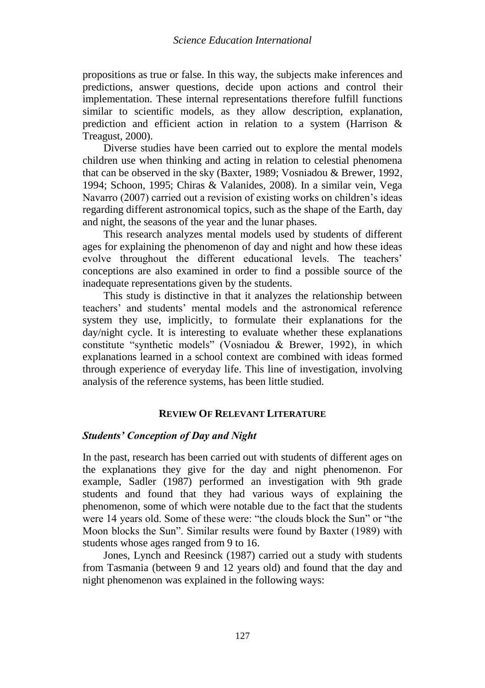propositions as true or false. In this way, the subjects make inferences and predictions, answer questions, decide upon actions and control their implementation. These internal representations therefore fulfill functions similar to scientific models, as they allow description, explanation, prediction and efficient action in relation to a system (Harrison & Treagust, 2000).

Diverse studies have been carried out to explore the mental models children use when thinking and acting in relation to celestial phenomena that can be observed in the sky (Baxter, 1989; Vosniadou & Brewer, 1992, 1994; Schoon, 1995; Chiras & Valanides, 2008). In a similar vein, Vega Navarro (2007) carried out a revision of existing works on children's ideas regarding different astronomical topics, such as the shape of the Earth, day and night, the seasons of the year and the lunar phases.

This research analyzes mental models used by students of different ages for explaining the phenomenon of day and night and how these ideas evolve throughout the different educational levels. The teachers' conceptions are also examined in order to find a possible source of the inadequate representations given by the students.

This study is distinctive in that it analyzes the relationship between teachers' and students' mental models and the astronomical reference system they use, implicitly, to formulate their explanations for the day/night cycle. It is interesting to evaluate whether these explanations constitute "synthetic models" (Vosniadou & Brewer, 1992), in which explanations learned in a school context are combined with ideas formed through experience of everyday life. This line of investigation, involving analysis of the reference systems, has been little studied.

## **REVIEW OF RELEVANT LITERATURE**

## *Students' Conception of Day and Night*

In the past, research has been carried out with students of different ages on the explanations they give for the day and night phenomenon. For example, Sadler (1987) performed an investigation with 9th grade students and found that they had various ways of explaining the phenomenon, some of which were notable due to the fact that the students were 14 years old. Some of these were: "the clouds block the Sun" or "the Moon blocks the Sun". Similar results were found by Baxter (1989) with students whose ages ranged from 9 to 16.

Jones, Lynch and Reesinck (1987) carried out a study with students from Tasmania (between 9 and 12 years old) and found that the day and night phenomenon was explained in the following ways: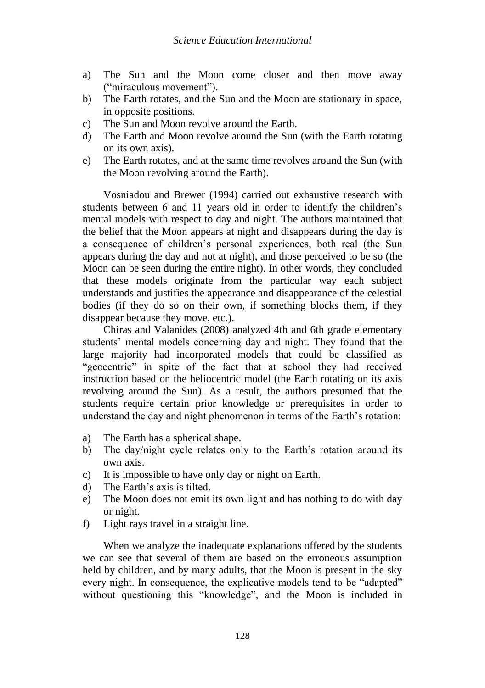- a) The Sun and the Moon come closer and then move away ("miraculous movement").
- b) The Earth rotates, and the Sun and the Moon are stationary in space, in opposite positions.
- c) The Sun and Moon revolve around the Earth.
- d) The Earth and Moon revolve around the Sun (with the Earth rotating on its own axis).
- e) The Earth rotates, and at the same time revolves around the Sun (with the Moon revolving around the Earth).

Vosniadou and Brewer (1994) carried out exhaustive research with students between 6 and 11 years old in order to identify the children's mental models with respect to day and night. The authors maintained that the belief that the Moon appears at night and disappears during the day is a consequence of children's personal experiences, both real (the Sun appears during the day and not at night), and those perceived to be so (the Moon can be seen during the entire night). In other words, they concluded that these models originate from the particular way each subject understands and justifies the appearance and disappearance of the celestial bodies (if they do so on their own, if something blocks them, if they disappear because they move, etc.).

Chiras and Valanides (2008) analyzed 4th and 6th grade elementary students' mental models concerning day and night. They found that the large majority had incorporated models that could be classified as "geocentric" in spite of the fact that at school they had received instruction based on the heliocentric model (the Earth rotating on its axis revolving around the Sun). As a result, the authors presumed that the students require certain prior knowledge or prerequisites in order to understand the day and night phenomenon in terms of the Earth's rotation:

- a) The Earth has a spherical shape.
- b) The day/night cycle relates only to the Earth's rotation around its own axis.
- c) It is impossible to have only day or night on Earth.
- d) The Earth's axis is tilted.
- e) The Moon does not emit its own light and has nothing to do with day or night.
- f) Light rays travel in a straight line.

When we analyze the inadequate explanations offered by the students we can see that several of them are based on the erroneous assumption held by children, and by many adults, that the Moon is present in the sky every night. In consequence, the explicative models tend to be "adapted" without questioning this "knowledge", and the Moon is included in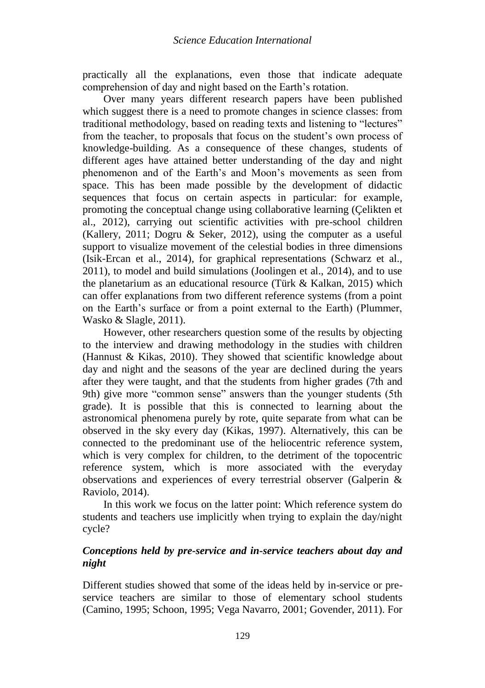practically all the explanations, even those that indicate adequate comprehension of day and night based on the Earth's rotation.

Over many years different research papers have been published which suggest there is a need to promote changes in science classes: from traditional methodology, based on reading texts and listening to "lectures" from the teacher, to proposals that focus on the student's own process of knowledge-building. As a consequence of these changes, students of different ages have attained better understanding of the day and night phenomenon and of the Earth's and Moon's movements as seen from space. This has been made possible by the development of didactic sequences that focus on certain aspects in particular: for example, promoting the conceptual change using collaborative learning (Çelikten et al., 2012), carrying out scientific activities with pre-school children (Kallery, 2011; Dogru & Seker, 2012), using the computer as a useful support to visualize movement of the celestial bodies in three dimensions (Isik-Ercan et al., 2014), for graphical representations (Schwarz et al., 2011), to model and build simulations (Joolingen et al., 2014), and to use the planetarium as an educational resource (Türk & Kalkan, 2015) which can offer explanations from two different reference systems (from a point on the Earth's surface or from a point external to the Earth) (Plummer, Wasko & Slagle, 2011).

However, other researchers question some of the results by objecting to the interview and drawing methodology in the studies with children (Hannust & Kikas, 2010). They showed that scientific knowledge about day and night and the seasons of the year are declined during the years after they were taught, and that the students from higher grades (7th and 9th) give more "common sense" answers than the younger students (5th grade). It is possible that this is connected to learning about the astronomical phenomena purely by rote, quite separate from what can be observed in the sky every day (Kikas, 1997). Alternatively, this can be connected to the predominant use of the heliocentric reference system, which is very complex for children, to the detriment of the topocentric reference system, which is more associated with the everyday observations and experiences of every terrestrial observer (Galperin & Raviolo, 2014).

In this work we focus on the latter point: Which reference system do students and teachers use implicitly when trying to explain the day/night cycle?

## *Conceptions held by pre-service and in-service teachers about day and night*

Different studies showed that some of the ideas held by in-service or preservice teachers are similar to those of elementary school students (Camino, 1995; Schoon, 1995; Vega Navarro, 2001; Govender, 2011). For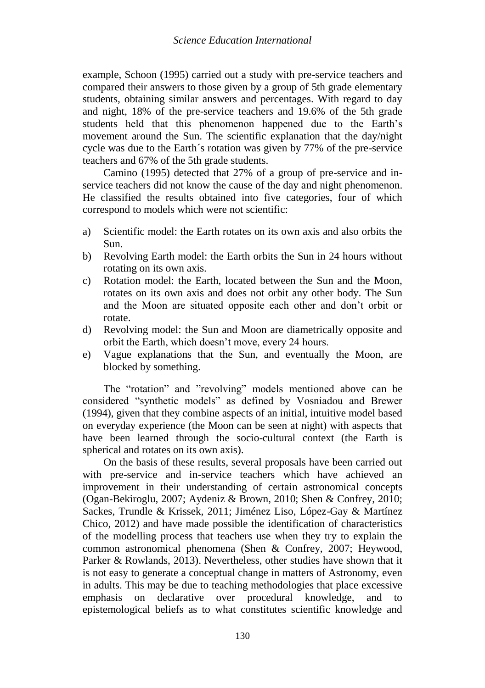example, Schoon (1995) carried out a study with pre-service teachers and compared their answers to those given by a group of 5th grade elementary students, obtaining similar answers and percentages. With regard to day and night, 18% of the pre-service teachers and 19.6% of the 5th grade students held that this phenomenon happened due to the Earth's movement around the Sun. The scientific explanation that the day/night cycle was due to the Earth´s rotation was given by 77% of the pre-service teachers and 67% of the 5th grade students.

Camino (1995) detected that 27% of a group of pre-service and inservice teachers did not know the cause of the day and night phenomenon. He classified the results obtained into five categories, four of which correspond to models which were not scientific:

- a) Scientific model: the Earth rotates on its own axis and also orbits the Sun.
- b) Revolving Earth model: the Earth orbits the Sun in 24 hours without rotating on its own axis.
- c) Rotation model: the Earth, located between the Sun and the Moon, rotates on its own axis and does not orbit any other body. The Sun and the Moon are situated opposite each other and don't orbit or rotate.
- d) Revolving model: the Sun and Moon are diametrically opposite and orbit the Earth, which doesn't move, every 24 hours.
- e) Vague explanations that the Sun, and eventually the Moon, are blocked by something.

The "rotation" and "revolving" models mentioned above can be considered "synthetic models" as defined by Vosniadou and Brewer (1994), given that they combine aspects of an initial, intuitive model based on everyday experience (the Moon can be seen at night) with aspects that have been learned through the socio-cultural context (the Earth is spherical and rotates on its own axis).

On the basis of these results, several proposals have been carried out with pre-service and in-service teachers which have achieved an improvement in their understanding of certain astronomical concepts (Ogan-Bekiroglu, 2007; Aydeniz & Brown, 2010; Shen & Confrey, 2010; Sackes, Trundle & Krissek, 2011; Jiménez Liso, López-Gay & Martínez Chico, 2012) and have made possible the identification of characteristics of the modelling process that teachers use when they try to explain the common astronomical phenomena (Shen & Confrey, 2007; Heywood, Parker & Rowlands, 2013). Nevertheless, other studies have shown that it is not easy to generate a conceptual change in matters of Astronomy, even in adults. This may be due to teaching methodologies that place excessive emphasis on declarative over procedural knowledge, and to epistemological beliefs as to what constitutes scientific knowledge and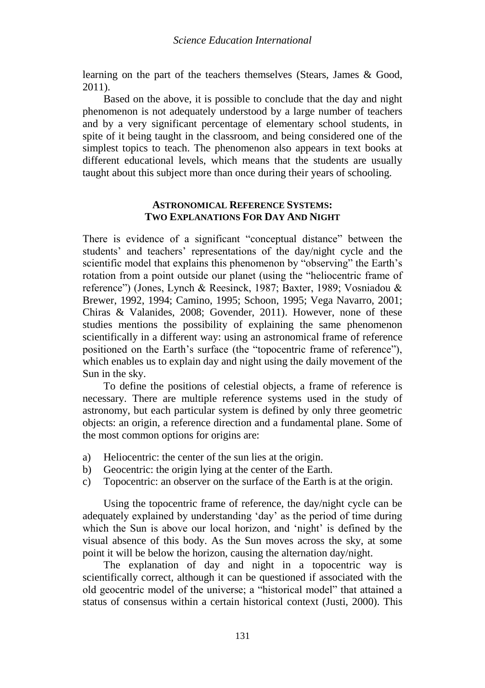learning on the part of the teachers themselves (Stears, James & Good, 2011).

Based on the above, it is possible to conclude that the day and night phenomenon is not adequately understood by a large number of teachers and by a very significant percentage of elementary school students, in spite of it being taught in the classroom, and being considered one of the simplest topics to teach. The phenomenon also appears in text books at different educational levels, which means that the students are usually taught about this subject more than once during their years of schooling.

### **ASTRONOMICAL REFERENCE SYSTEMS: TWO EXPLANATIONS FOR DAY AND NIGHT**

There is evidence of a significant "conceptual distance" between the students' and teachers' representations of the day/night cycle and the scientific model that explains this phenomenon by "observing" the Earth's rotation from a point outside our planet (using the "heliocentric frame of reference") (Jones, Lynch & Reesinck, 1987; Baxter, 1989; Vosniadou & Brewer, 1992, 1994; Camino, 1995; Schoon, 1995; Vega Navarro, 2001; Chiras & Valanides, 2008; Govender, 2011). However, none of these studies mentions the possibility of explaining the same phenomenon scientifically in a different way: using an astronomical frame of reference positioned on the Earth's surface (the "topocentric frame of reference"), which enables us to explain day and night using the daily movement of the Sun in the sky.

To define the positions of celestial objects, a frame of reference is necessary. There are multiple reference systems used in the study of astronomy, but each particular system is defined by only three geometric objects: an origin, a reference direction and a fundamental plane. Some of the most common options for origins are:

- a) Heliocentric: the center of the sun lies at the origin.
- b) Geocentric: the origin lying at the center of the Earth.
- c) Topocentric: an observer on the surface of the Earth is at the origin.

Using the topocentric frame of reference, the day/night cycle can be adequately explained by understanding 'day' as the period of time during which the Sun is above our local horizon, and 'night' is defined by the visual absence of this body. As the Sun moves across the sky, at some point it will be below the horizon, causing the alternation day/night.

The explanation of day and night in a topocentric way is scientifically correct, although it can be questioned if associated with the old geocentric model of the universe; a "historical model" that attained a status of consensus within a certain historical context (Justi, 2000). This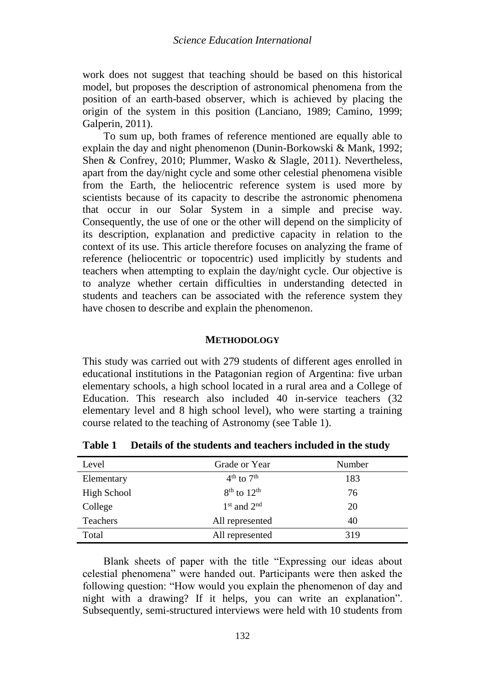work does not suggest that teaching should be based on this historical model, but proposes the description of astronomical phenomena from the position of an earth-based observer, which is achieved by placing the origin of the system in this position (Lanciano, 1989; Camino, 1999; Galperin, 2011).

To sum up, both frames of reference mentioned are equally able to explain the day and night phenomenon (Dunin-Borkowski & Mank, 1992; Shen & Confrey, 2010; Plummer, Wasko & Slagle, 2011). Nevertheless, apart from the day/night cycle and some other celestial phenomena visible from the Earth, the heliocentric reference system is used more by scientists because of its capacity to describe the astronomic phenomena that occur in our Solar System in a simple and precise way. Consequently, the use of one or the other will depend on the simplicity of its description, explanation and predictive capacity in relation to the context of its use. This article therefore focuses on analyzing the frame of reference (heliocentric or topocentric) used implicitly by students and teachers when attempting to explain the day/night cycle. Our objective is to analyze whether certain difficulties in understanding detected in students and teachers can be associated with the reference system they have chosen to describe and explain the phenomenon.

#### **METHODOLOGY**

This study was carried out with 279 students of different ages enrolled in educational institutions in the Patagonian region of Argentina: five urban elementary schools, a high school located in a rural area and a College of Education. This research also included 40 in-service teachers (32 elementary level and 8 high school level), who were starting a training course related to the teaching of Astronomy (see Table 1).

| Level       | Grade or Year<br>Number            |     |
|-------------|------------------------------------|-----|
| Elementary  | $4^{\text{th}}$ to $7^{\text{th}}$ | 183 |
| High School | $8th$ to $12th$                    | 76  |
| College     | $1st$ and $2nd$                    | 20  |
| Teachers    | All represented                    | 40  |
| Total       | All represented                    | 319 |

**Table 1 Details of the students and teachers included in the study**

Blank sheets of paper with the title "Expressing our ideas about celestial phenomena" were handed out. Participants were then asked the following question: "How would you explain the phenomenon of day and night with a drawing? If it helps, you can write an explanation". Subsequently, semi-structured interviews were held with 10 students from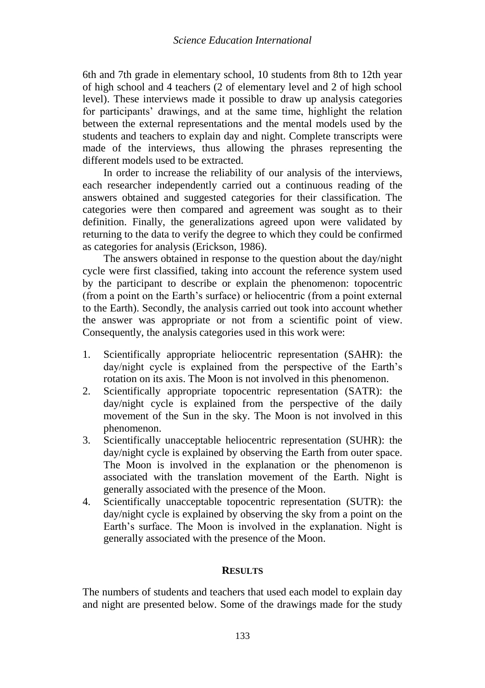6th and 7th grade in elementary school, 10 students from 8th to 12th year of high school and 4 teachers (2 of elementary level and 2 of high school level). These interviews made it possible to draw up analysis categories for participants' drawings, and at the same time, highlight the relation between the external representations and the mental models used by the students and teachers to explain day and night. Complete transcripts were made of the interviews, thus allowing the phrases representing the different models used to be extracted.

In order to increase the reliability of our analysis of the interviews, each researcher independently carried out a continuous reading of the answers obtained and suggested categories for their classification. The categories were then compared and agreement was sought as to their definition. Finally, the generalizations agreed upon were validated by returning to the data to verify the degree to which they could be confirmed as categories for analysis (Erickson, 1986).

The answers obtained in response to the question about the day/night cycle were first classified, taking into account the reference system used by the participant to describe or explain the phenomenon: topocentric (from a point on the Earth's surface) or heliocentric (from a point external to the Earth). Secondly, the analysis carried out took into account whether the answer was appropriate or not from a scientific point of view. Consequently, the analysis categories used in this work were:

- 1. Scientifically appropriate heliocentric representation (SAHR): the day/night cycle is explained from the perspective of the Earth's rotation on its axis. The Moon is not involved in this phenomenon.
- 2. Scientifically appropriate topocentric representation (SATR): the day/night cycle is explained from the perspective of the daily movement of the Sun in the sky. The Moon is not involved in this phenomenon.
- 3. Scientifically unacceptable heliocentric representation (SUHR): the day/night cycle is explained by observing the Earth from outer space. The Moon is involved in the explanation or the phenomenon is associated with the translation movement of the Earth. Night is generally associated with the presence of the Moon.
- 4. Scientifically unacceptable topocentric representation (SUTR): the day/night cycle is explained by observing the sky from a point on the Earth's surface. The Moon is involved in the explanation. Night is generally associated with the presence of the Moon.

## **RESULTS**

The numbers of students and teachers that used each model to explain day and night are presented below. Some of the drawings made for the study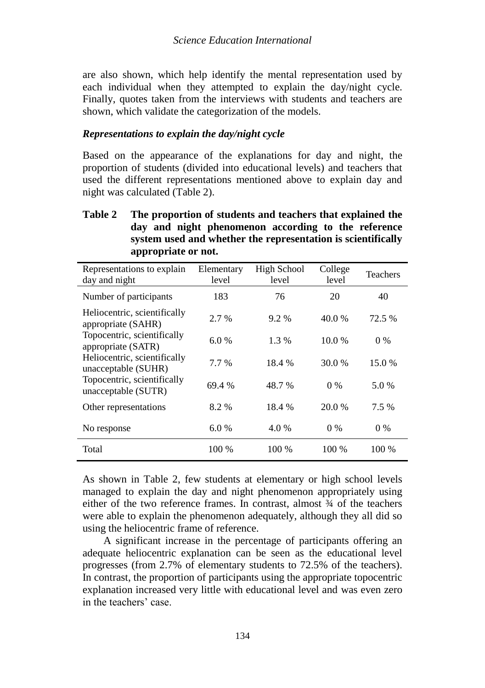are also shown, which help identify the mental representation used by each individual when they attempted to explain the day/night cycle. Finally, quotes taken from the interviews with students and teachers are shown, which validate the categorization of the models.

### *Representations to explain the day/night cycle*

Based on the appearance of the explanations for day and night, the proportion of students (divided into educational levels) and teachers that used the different representations mentioned above to explain day and night was calculated (Table 2).

## **Table 2 The proportion of students and teachers that explained the day and night phenomenon according to the reference system used and whether the representation is scientifically appropriate or not.**

| Representations to explain<br>day and night         | Elementary<br>level | <b>High School</b><br>level | College<br>level | <b>Teachers</b> |
|-----------------------------------------------------|---------------------|-----------------------------|------------------|-----------------|
| Number of participants                              | 183                 | 76                          | 20               | 40              |
| Heliocentric, scientifically<br>appropriate (SAHR)  | 2.7 %               | $9.2\%$                     | 40.0 %           | 72.5 %          |
| Topocentric, scientifically<br>appropriate (SATR)   | 6.0%                | 1.3 %                       | 10.0%            | $0\%$           |
| Heliocentric, scientifically<br>unacceptable (SUHR) | $7.7\%$             | 18.4 %                      | 30.0 %           | 15.0 %          |
| Topocentric, scientifically<br>unacceptable (SUTR)  | 69.4 %              | 48.7 %                      | $0\%$            | 5.0 %           |
| Other representations                               | 8.2%                | 18.4 %                      | 20.0 %           | 7.5 %           |
| No response                                         | 6.0%                | 4.0 %                       | $0\%$            | $0\%$           |
| Total                                               | 100 %               | $100\%$                     | 100 %            | 100 %           |

As shown in Table 2, few students at elementary or high school levels managed to explain the day and night phenomenon appropriately using either of the two reference frames. In contrast, almost ¾ of the teachers were able to explain the phenomenon adequately, although they all did so using the heliocentric frame of reference.

A significant increase in the percentage of participants offering an adequate heliocentric explanation can be seen as the educational level progresses (from 2.7% of elementary students to 72.5% of the teachers). In contrast, the proportion of participants using the appropriate topocentric explanation increased very little with educational level and was even zero in the teachers' case.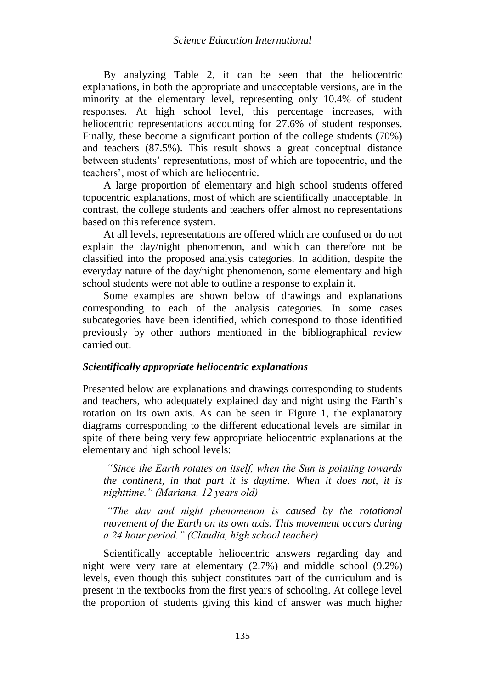By analyzing Table 2, it can be seen that the heliocentric explanations, in both the appropriate and unacceptable versions, are in the minority at the elementary level, representing only 10.4% of student responses. At high school level, this percentage increases, with heliocentric representations accounting for 27.6% of student responses. Finally, these become a significant portion of the college students (70%) and teachers (87.5%). This result shows a great conceptual distance between students' representations, most of which are topocentric, and the teachers', most of which are heliocentric.

A large proportion of elementary and high school students offered topocentric explanations, most of which are scientifically unacceptable. In contrast, the college students and teachers offer almost no representations based on this reference system.

At all levels, representations are offered which are confused or do not explain the day/night phenomenon, and which can therefore not be classified into the proposed analysis categories. In addition, despite the everyday nature of the day/night phenomenon, some elementary and high school students were not able to outline a response to explain it.

Some examples are shown below of drawings and explanations corresponding to each of the analysis categories. In some cases subcategories have been identified, which correspond to those identified previously by other authors mentioned in the bibliographical review carried out.

## *Scientifically appropriate heliocentric explanations*

Presented below are explanations and drawings corresponding to students and teachers, who adequately explained day and night using the Earth's rotation on its own axis. As can be seen in Figure 1, the explanatory diagrams corresponding to the different educational levels are similar in spite of there being very few appropriate heliocentric explanations at the elementary and high school levels:

*"Since the Earth rotates on itself, when the Sun is pointing towards the continent, in that part it is daytime. When it does not, it is nighttime." (Mariana, 12 years old)*

*"The day and night phenomenon is caused by the rotational movement of the Earth on its own axis. This movement occurs during a 24 hour period." (Claudia, high school teacher)*

Scientifically acceptable heliocentric answers regarding day and night were very rare at elementary (2.7%) and middle school (9.2%) levels, even though this subject constitutes part of the curriculum and is present in the textbooks from the first years of schooling. At college level the proportion of students giving this kind of answer was much higher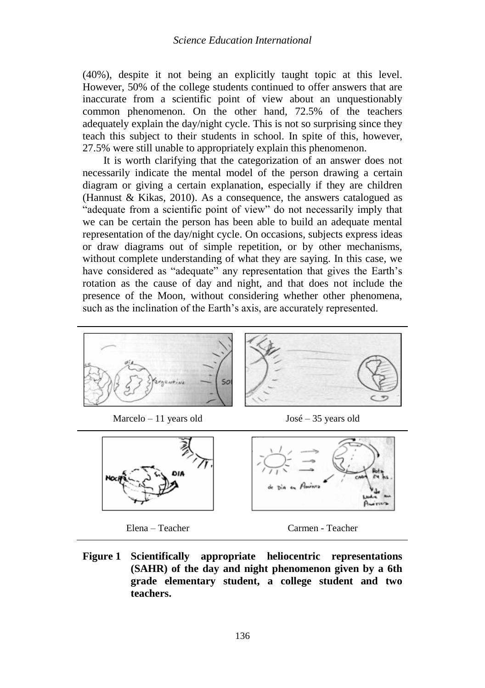(40%), despite it not being an explicitly taught topic at this level. However, 50% of the college students continued to offer answers that are inaccurate from a scientific point of view about an unquestionably common phenomenon. On the other hand, 72.5% of the teachers adequately explain the day/night cycle. This is not so surprising since they teach this subject to their students in school. In spite of this, however, 27.5% were still unable to appropriately explain this phenomenon.

It is worth clarifying that the categorization of an answer does not necessarily indicate the mental model of the person drawing a certain diagram or giving a certain explanation, especially if they are children (Hannust & Kikas, 2010). As a consequence, the answers catalogued as "adequate from a scientific point of view" do not necessarily imply that we can be certain the person has been able to build an adequate mental representation of the day/night cycle. On occasions, subjects express ideas or draw diagrams out of simple repetition, or by other mechanisms, without complete understanding of what they are saying. In this case, we have considered as "adequate" any representation that gives the Earth's rotation as the cause of day and night, and that does not include the presence of the Moon, without considering whether other phenomena, such as the inclination of the Earth's axis, are accurately represented.



**Figure 1 Scientifically appropriate heliocentric representations (SAHR) of the day and night phenomenon given by a 6th grade elementary student, a college student and two teachers.**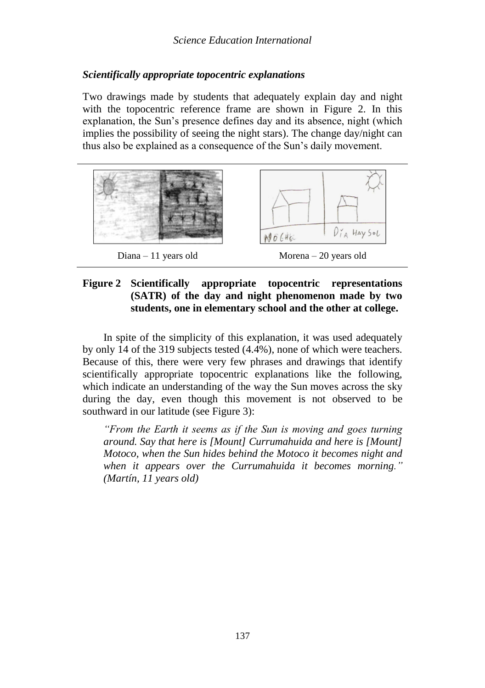## *Scientifically appropriate topocentric explanations*

Two drawings made by students that adequately explain day and night with the topocentric reference frame are shown in Figure 2. In this explanation, the Sun's presence defines day and its absence, night (which implies the possibility of seeing the night stars). The change day/night can thus also be explained as a consequence of the Sun's daily movement.



## **Figure 2 Scientifically appropriate topocentric representations (SATR) of the day and night phenomenon made by two students, one in elementary school and the other at college.**

In spite of the simplicity of this explanation, it was used adequately by only 14 of the 319 subjects tested (4.4%), none of which were teachers. Because of this, there were very few phrases and drawings that identify scientifically appropriate topocentric explanations like the following, which indicate an understanding of the way the Sun moves across the sky during the day, even though this movement is not observed to be southward in our latitude (see Figure 3):

*"From the Earth it seems as if the Sun is moving and goes turning around. Say that here is [Mount] Currumahuida and here is [Mount] Motoco, when the Sun hides behind the Motoco it becomes night and when it appears over the Currumahuida it becomes morning." (Martín, 11 years old)*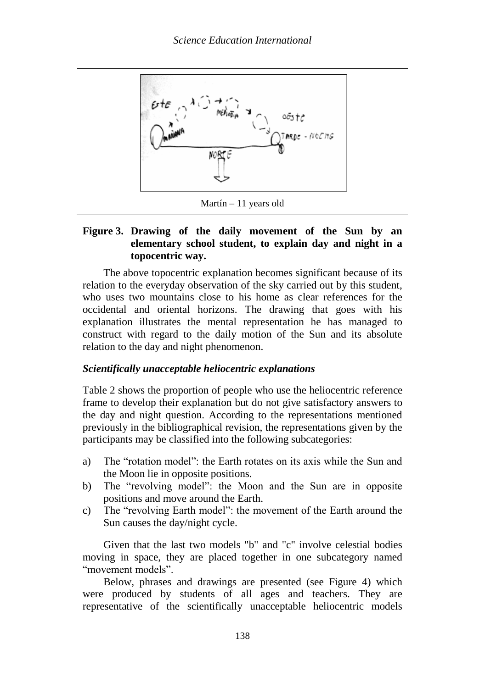

Martín – 11 years old

## **Figure 3. Drawing of the daily movement of the Sun by an elementary school student, to explain day and night in a topocentric way.**

The above topocentric explanation becomes significant because of its relation to the everyday observation of the sky carried out by this student, who uses two mountains close to his home as clear references for the occidental and oriental horizons. The drawing that goes with his explanation illustrates the mental representation he has managed to construct with regard to the daily motion of the Sun and its absolute relation to the day and night phenomenon.

## *Scientifically unacceptable heliocentric explanations*

Table 2 shows the proportion of people who use the heliocentric reference frame to develop their explanation but do not give satisfactory answers to the day and night question. According to the representations mentioned previously in the bibliographical revision, the representations given by the participants may be classified into the following subcategories:

- a) The "rotation model": the Earth rotates on its axis while the Sun and the Moon lie in opposite positions.
- b) The "revolving model": the Moon and the Sun are in opposite positions and move around the Earth.
- c) The "revolving Earth model": the movement of the Earth around the Sun causes the day/night cycle.

Given that the last two models "b" and "c" involve celestial bodies moving in space, they are placed together in one subcategory named "movement models".

Below, phrases and drawings are presented (see Figure 4) which were produced by students of all ages and teachers. They are representative of the scientifically unacceptable heliocentric models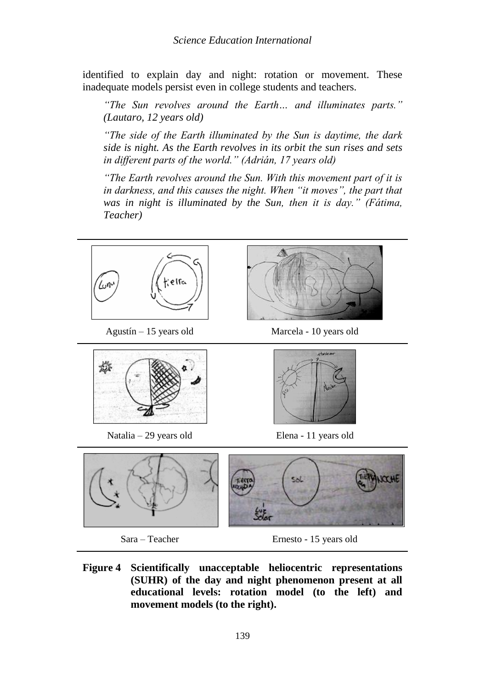identified to explain day and night: rotation or movement. These inadequate models persist even in college students and teachers.

*"The Sun revolves around the Earth… and illuminates parts." (Lautaro, 12 years old)*

*"The side of the Earth illuminated by the Sun is daytime, the dark side is night. As the Earth revolves in its orbit the sun rises and sets in different parts of the world." (Adrián, 17 years old)*

*"The Earth revolves around the Sun. With this movement part of it is in darkness, and this causes the night. When "it moves", the part that*  was in night is illuminated by the Sun, then it is day." (Fátima, *Teacher)*



Sara – Teacher Ernesto - 15 years old

**Figure 4 Scientifically unacceptable heliocentric representations (SUHR) of the day and night phenomenon present at all educational levels: rotation model (to the left) and movement models (to the right).**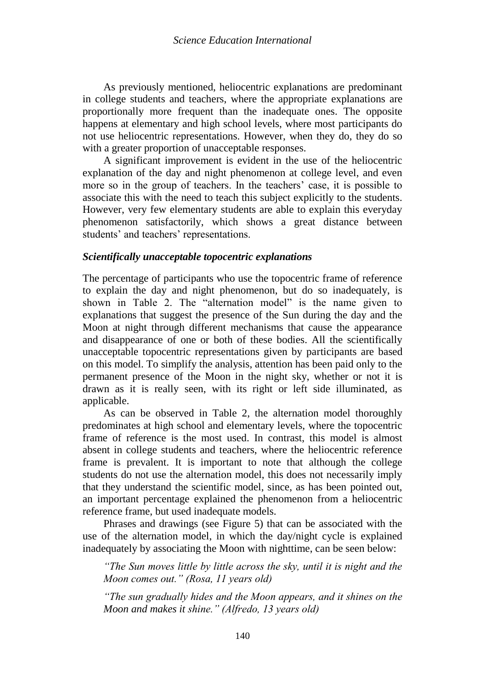As previously mentioned, heliocentric explanations are predominant in college students and teachers, where the appropriate explanations are proportionally more frequent than the inadequate ones. The opposite happens at elementary and high school levels, where most participants do not use heliocentric representations. However, when they do, they do so with a greater proportion of unacceptable responses.

A significant improvement is evident in the use of the heliocentric explanation of the day and night phenomenon at college level, and even more so in the group of teachers. In the teachers' case, it is possible to associate this with the need to teach this subject explicitly to the students. However, very few elementary students are able to explain this everyday phenomenon satisfactorily, which shows a great distance between students' and teachers' representations.

## *Scientifically unacceptable topocentric explanations*

The percentage of participants who use the topocentric frame of reference to explain the day and night phenomenon, but do so inadequately, is shown in Table 2. The "alternation model" is the name given to explanations that suggest the presence of the Sun during the day and the Moon at night through different mechanisms that cause the appearance and disappearance of one or both of these bodies. All the scientifically unacceptable topocentric representations given by participants are based on this model. To simplify the analysis, attention has been paid only to the permanent presence of the Moon in the night sky, whether or not it is drawn as it is really seen, with its right or left side illuminated, as applicable.

As can be observed in Table 2, the alternation model thoroughly predominates at high school and elementary levels, where the topocentric frame of reference is the most used. In contrast, this model is almost absent in college students and teachers, where the heliocentric reference frame is prevalent. It is important to note that although the college students do not use the alternation model, this does not necessarily imply that they understand the scientific model, since, as has been pointed out, an important percentage explained the phenomenon from a heliocentric reference frame, but used inadequate models.

Phrases and drawings (see Figure 5) that can be associated with the use of the alternation model, in which the day/night cycle is explained inadequately by associating the Moon with nighttime, can be seen below:

*"The Sun moves little by little across the sky, until it is night and the Moon comes out." (Rosa, 11 years old)*

*"The sun gradually hides and the Moon appears, and it shines on the Moon and makes it shine." (Alfredo, 13 years old)*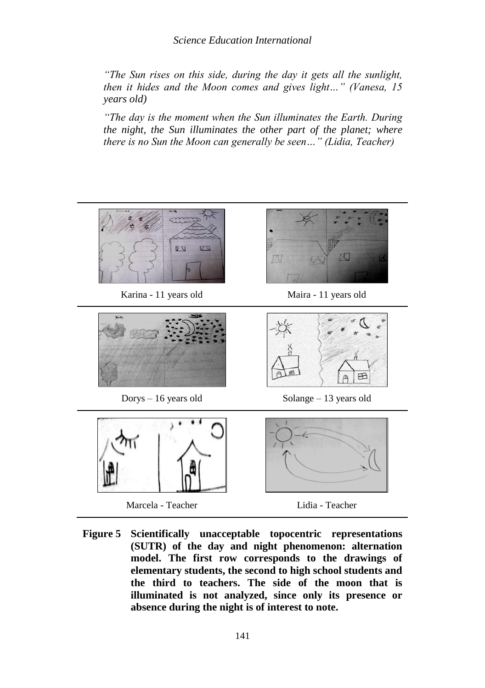*Science Education International*

*"The Sun rises on this side, during the day it gets all the sunlight, then it hides and the Moon comes and gives light…" (Vanesa, 15 years old)*

*"The day is the moment when the Sun illuminates the Earth. During the night, the Sun illuminates the other part of the planet; where there is no Sun the Moon can generally be seen…" (Lidia, Teacher)*



**Figure 5 Scientifically unacceptable topocentric representations (SUTR) of the day and night phenomenon: alternation model. The first row corresponds to the drawings of elementary students, the second to high school students and the third to teachers. The side of the moon that is illuminated is not analyzed, since only its presence or absence during the night is of interest to note.**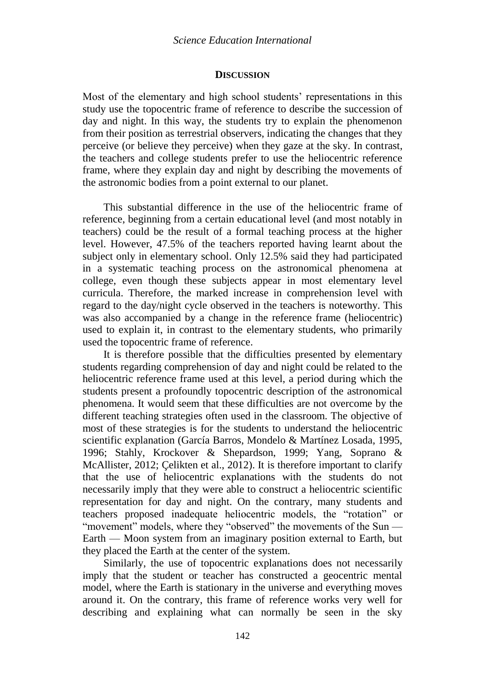#### **DISCUSSION**

Most of the elementary and high school students' representations in this study use the topocentric frame of reference to describe the succession of day and night. In this way, the students try to explain the phenomenon from their position as terrestrial observers, indicating the changes that they perceive (or believe they perceive) when they gaze at the sky. In contrast, the teachers and college students prefer to use the heliocentric reference frame, where they explain day and night by describing the movements of the astronomic bodies from a point external to our planet.

This substantial difference in the use of the heliocentric frame of reference, beginning from a certain educational level (and most notably in teachers) could be the result of a formal teaching process at the higher level. However, 47.5% of the teachers reported having learnt about the subject only in elementary school. Only 12.5% said they had participated in a systematic teaching process on the astronomical phenomena at college, even though these subjects appear in most elementary level curricula. Therefore, the marked increase in comprehension level with regard to the day/night cycle observed in the teachers is noteworthy. This was also accompanied by a change in the reference frame (heliocentric) used to explain it, in contrast to the elementary students, who primarily used the topocentric frame of reference.

It is therefore possible that the difficulties presented by elementary students regarding comprehension of day and night could be related to the heliocentric reference frame used at this level, a period during which the students present a profoundly topocentric description of the astronomical phenomena. It would seem that these difficulties are not overcome by the different teaching strategies often used in the classroom. The objective of most of these strategies is for the students to understand the heliocentric scientific explanation (García Barros, Mondelo & Martínez Losada, 1995, 1996; Stahly, Krockover & Shepardson, 1999; Yang, Soprano & McAllister, 2012; Çelikten et al., 2012). It is therefore important to clarify that the use of heliocentric explanations with the students do not necessarily imply that they were able to construct a heliocentric scientific representation for day and night. On the contrary, many students and teachers proposed inadequate heliocentric models, the "rotation" or "movement" models, where they "observed" the movements of the Sun — Earth — Moon system from an imaginary position external to Earth, but they placed the Earth at the center of the system.

Similarly, the use of topocentric explanations does not necessarily imply that the student or teacher has constructed a geocentric mental model, where the Earth is stationary in the universe and everything moves around it. On the contrary, this frame of reference works very well for describing and explaining what can normally be seen in the sky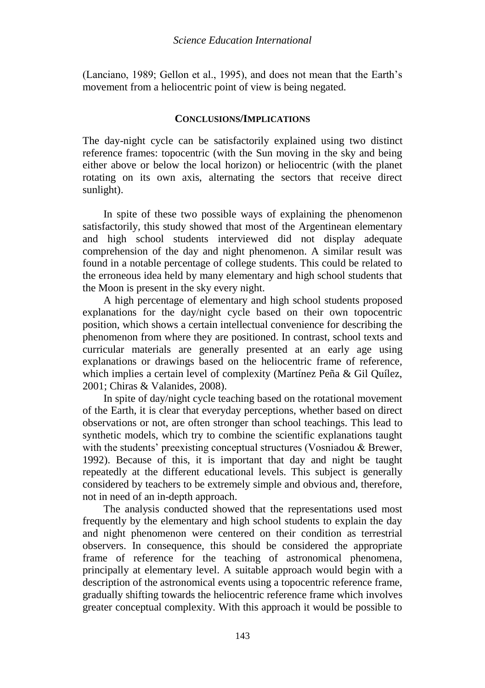(Lanciano, 1989; Gellon et al., 1995), and does not mean that the Earth's movement from a heliocentric point of view is being negated.

### **CONCLUSIONS/IMPLICATIONS**

The day-night cycle can be satisfactorily explained using two distinct reference frames: topocentric (with the Sun moving in the sky and being either above or below the local horizon) or heliocentric (with the planet rotating on its own axis, alternating the sectors that receive direct sunlight).

In spite of these two possible ways of explaining the phenomenon satisfactorily, this study showed that most of the Argentinean elementary and high school students interviewed did not display adequate comprehension of the day and night phenomenon. A similar result was found in a notable percentage of college students. This could be related to the erroneous idea held by many elementary and high school students that the Moon is present in the sky every night.

A high percentage of elementary and high school students proposed explanations for the day/night cycle based on their own topocentric position, which shows a certain intellectual convenience for describing the phenomenon from where they are positioned. In contrast, school texts and curricular materials are generally presented at an early age using explanations or drawings based on the heliocentric frame of reference, which implies a certain level of complexity (Martínez Peña & Gil Quílez, 2001; Chiras & Valanides, 2008).

In spite of day/night cycle teaching based on the rotational movement of the Earth, it is clear that everyday perceptions, whether based on direct observations or not, are often stronger than school teachings. This lead to synthetic models, which try to combine the scientific explanations taught with the students' preexisting conceptual structures (Vosniadou & Brewer, 1992). Because of this, it is important that day and night be taught repeatedly at the different educational levels. This subject is generally considered by teachers to be extremely simple and obvious and, therefore, not in need of an in-depth approach.

The analysis conducted showed that the representations used most frequently by the elementary and high school students to explain the day and night phenomenon were centered on their condition as terrestrial observers. In consequence, this should be considered the appropriate frame of reference for the teaching of astronomical phenomena, principally at elementary level. A suitable approach would begin with a description of the astronomical events using a topocentric reference frame, gradually shifting towards the heliocentric reference frame which involves greater conceptual complexity. With this approach it would be possible to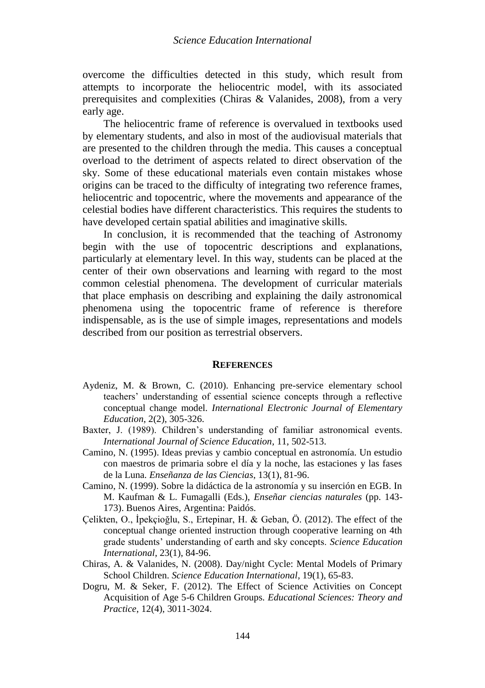overcome the difficulties detected in this study, which result from attempts to incorporate the heliocentric model, with its associated prerequisites and complexities (Chiras & Valanides, 2008), from a very early age.

The heliocentric frame of reference is overvalued in textbooks used by elementary students, and also in most of the audiovisual materials that are presented to the children through the media. This causes a conceptual overload to the detriment of aspects related to direct observation of the sky. Some of these educational materials even contain mistakes whose origins can be traced to the difficulty of integrating two reference frames, heliocentric and topocentric, where the movements and appearance of the celestial bodies have different characteristics. This requires the students to have developed certain spatial abilities and imaginative skills.

In conclusion, it is recommended that the teaching of Astronomy begin with the use of topocentric descriptions and explanations, particularly at elementary level. In this way, students can be placed at the center of their own observations and learning with regard to the most common celestial phenomena. The development of curricular materials that place emphasis on describing and explaining the daily astronomical phenomena using the topocentric frame of reference is therefore indispensable, as is the use of simple images, representations and models described from our position as terrestrial observers.

#### **REFERENCES**

- Aydeniz, M. & Brown, C. (2010). Enhancing pre-service elementary school teachers' understanding of essential science concepts through a reflective conceptual change model. *International Electronic Journal of Elementary Education*, 2(2), 305-326.
- Baxter, J. (1989). Children's understanding of familiar astronomical events. *International Journal of Science Education*, 11, 502-513.
- Camino, N. (1995). Ideas previas y cambio conceptual en astronomía. Un estudio con maestros de primaria sobre el día y la noche, las estaciones y las fases de la Luna. *Enseñanza de las Ciencias*, 13(1), 81-96.
- Camino, N. (1999). Sobre la didáctica de la astronomía y su inserción en EGB. In M. Kaufman & L. Fumagalli (Eds.), *Enseñar ciencias naturales* (pp. 143- 173). Buenos Aires, Argentina: Paidós.
- Çelikten, O., İpekçioğlu, S., Ertepinar, H. & Geban, Ö. (2012). The effect of the conceptual change oriented instruction through cooperative learning on 4th grade students' understanding of earth and sky concepts. *Science Education International*, 23(1), 84-96.
- Chiras, A. & Valanides, N. (2008). Day/night Cycle: Mental Models of Primary School Children. *Science Education International*, 19(1), 65-83.
- Dogru, M. & Seker, F. (2012). The Effect of Science Activities on Concept Acquisition of Age 5-6 Children Groups. *Educational Sciences: Theory and Practice*, 12(4), 3011-3024.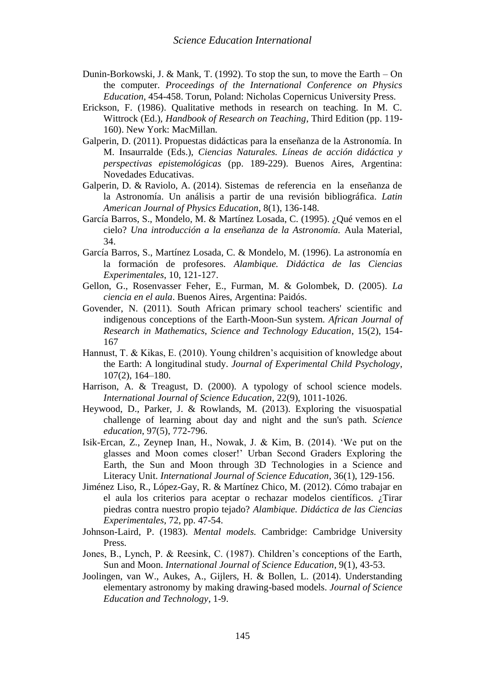- Dunin-Borkowski, J. & Mank, T. (1992). To stop the sun, to move the Earth On the computer. *Proceedings of the International Conference on Physics Education*, 454-458. Torun, Poland: Nicholas Copernicus University Press.
- Erickson, F. (1986). Qualitative methods in research on teaching. In M. C. Wittrock (Ed.), *Handbook of Research on Teaching*, Third Edition (pp. 119- 160). New York: MacMillan.
- Galperin, D. (2011). Propuestas didácticas para la enseñanza de la Astronomía. In M. Insaurralde (Eds.), *Ciencias Naturales. Líneas de acción didáctica y perspectivas epistemológicas* (pp. 189-229). Buenos Aires, Argentina: Novedades Educativas.
- Galperin, D. & Raviolo, A. (2014). Sistemas de referencia en la enseñanza de la Astronomía. Un análisis a partir de una revisión bibliográfica. *Latin American Journal of Physics Education*, 8(1), 136-148.
- García Barros, S., Mondelo, M. & Martínez Losada, C. (1995). ¿Qué vemos en el cielo? *Una introducción a la enseñanza de la Astronomía.* Aula Material, 34.
- García Barros, S., Martínez Losada, C. & Mondelo, M. (1996). La astronomía en la formación de profesores. *Alambique. Didáctica de las Ciencias Experimentales*, 10, 121-127.
- Gellon, G., Rosenvasser Feher, E., Furman, M. & Golombek, D. (2005). *La ciencia en el aula*. Buenos Aires, Argentina: Paidós.
- Govender, N. (2011). South African primary school teachers' scientific and indigenous conceptions of the Earth-Moon-Sun system. *African Journal of Research in Mathematics, Science and Technology Education*, 15(2), 154- 167
- Hannust, T. & Kikas, E. (2010). Young children's acquisition of knowledge about the Earth: A longitudinal study. *Journal of Experimental Child Psychology*, 107(2), 164–180.
- Harrison, A. & Treagust, D. (2000). A typology of school science models. *International Journal of Science Education*, 22(9), 1011-1026.
- Heywood, D., Parker, J. & Rowlands, M. (2013). Exploring the visuospatial challenge of learning about day and night and the sun's path. *Science education*, 97(5), 772-796.
- Isik-Ercan, Z., Zeynep Inan, H., Nowak, J. & Kim, B. (2014). 'We put on the glasses and Moon comes closer!' Urban Second Graders Exploring the Earth, the Sun and Moon through 3D Technologies in a Science and Literacy Unit. *International Journal of Science Education*, 36(1), 129-156.
- Jiménez Liso, R., López-Gay, R. & Martínez Chico, M. (2012). Cómo trabajar en el aula los criterios para aceptar o rechazar modelos científicos. ¿Tirar piedras contra nuestro propio tejado? *Alambique. Didáctica de las Ciencias Experimentales*, 72, pp. 47-54.
- Johnson-Laird, P. (1983). *Mental models.* Cambridge: Cambridge University Press.
- Jones, B., Lynch, P. & Reesink, C. (1987). Children's conceptions of the Earth, Sun and Moon. *International Journal of Science Education*, 9(1), 43-53.
- Joolingen, van W., Aukes, A., Gijlers, H. & Bollen, L. (2014). Understanding elementary astronomy by making drawing-based models. *Journal of Science Education and Technology*, 1-9.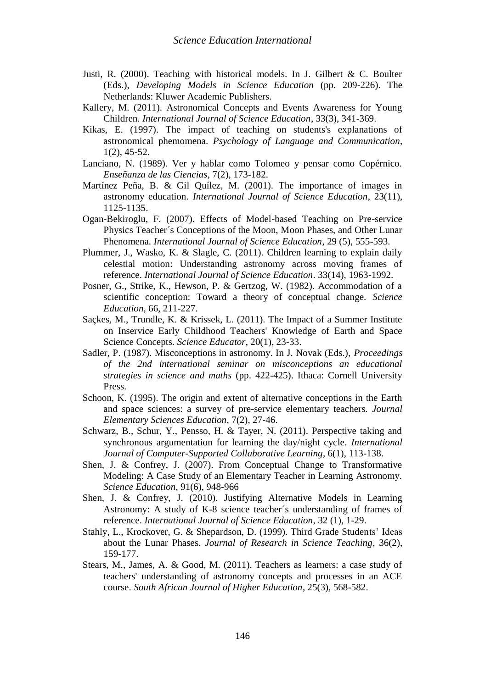- Justi, R. (2000). Teaching with historical models. In J. Gilbert & C. Boulter (Eds.), *Developing Models in Science Education* (pp. 209-226). The Netherlands: Kluwer Academic Publishers.
- Kallery, M. (2011). Astronomical Concepts and Events Awareness for Young Children. *International Journal of Science Education*, 33(3), 341-369.
- Kikas, E. (1997). The impact of teaching on students's explanations of astronomical phemomena. *Psychology of Language and Communication*, 1(2), 45-52.
- Lanciano, N. (1989). Ver y hablar como Tolomeo y pensar como Copérnico. *Enseñanza de las Ciencias*, 7(2), 173-182.
- Martínez Peña, B. & Gil Quílez, M. (2001). The importance of images in astronomy education. *International Journal of Science Education*, 23(11), 1125-1135.
- Ogan-Bekiroglu, F. (2007). Effects of Model-based Teaching on Pre-service Physics Teacher´s Conceptions of the Moon, Moon Phases, and Other Lunar Phenomena. *International Journal of Science Education*, 29 (5), 555-593.
- Plummer, J., Wasko, K. & Slagle, C. (2011). Children learning to explain daily celestial motion: Understanding astronomy across moving frames of reference. *International Journal of Science Education*. 33(14), 1963-1992.
- Posner, G., Strike, K., Hewson, P. & Gertzog, W. (1982). Accommodation of a scientific conception: Toward a theory of conceptual change. *Science Education*, 66, 211-227.
- Saçkes, M., Trundle, K. & Krissek, L. (2011). The Impact of a Summer Institute on Inservice Early Childhood Teachers' Knowledge of Earth and Space Science Concepts. *Science Educator*, 20(1), 23-33.
- Sadler, P. (1987). Misconceptions in astronomy. In J. Novak (Eds.), *Proceedings of the 2nd international seminar on misconceptions an educational strategies in science and maths* (pp. 422-425). Ithaca: Cornell University Press.
- Schoon, K. (1995). The origin and extent of alternative conceptions in the Earth and space sciences: a survey of pre-service elementary teachers. *Journal Elementary Sciences Education*, 7(2), 27-46.
- Schwarz, B., Schur, Y., Pensso, H. & Tayer, N. (2011). Perspective taking and synchronous argumentation for learning the day/night cycle. *International Journal of Computer-Supported Collaborative Learning*, 6(1), 113-138.
- Shen, J. & Confrey, J. (2007). From Conceptual Change to Transformative Modeling: A Case Study of an Elementary Teacher in Learning Astronomy. *Science Education*, 91(6), 948-966
- Shen, J. & Confrey, J. (2010). Justifying Alternative Models in Learning Astronomy: A study of K-8 science teacher´s understanding of frames of reference. *International Journal of Science Education*, 32 (1), 1-29.
- Stahly, L., Krockover, G. & Shepardson, D. (1999). Third Grade Students' Ideas about the Lunar Phases. *Journal of Research in Science Teaching*, 36(2), 159-177.
- Stears, M., James, A. & Good, M. (2011). Teachers as learners: a case study of teachers' understanding of astronomy concepts and processes in an ACE course. *South African Journal of Higher Education*, 25(3), 568-582.